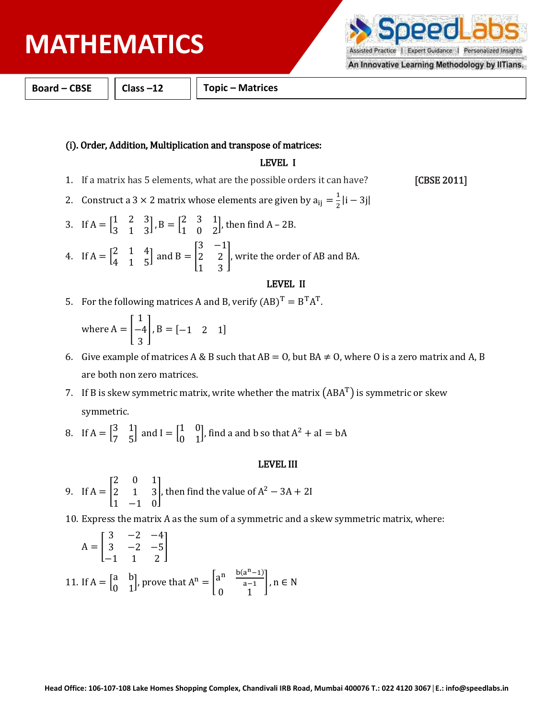# **PHYSICS MATHEMATICS**

Assisted Practice | Expert Guidance | Personalized Insights An Innovative Learning Methodology by IITians.

**DO** 

**Board – CBSE Class –12 Topic – Matrices** 

### (i). Order, Addition, Multiplication and transpose of matrices:

## LEVEL I

- 1. If a matrix has 5 elements, what are the possible orders it can have? [CBSE 2011]
- 2. Construct a 3  $\times$  2 matrix whose elements are given by  $a_{ij} = \frac{1}{2}$  $rac{1}{2}$ |i – 3j|
- 3. If  $A = \begin{bmatrix} 1 & 2 & 3 \\ 2 & 1 & 3 \end{bmatrix}$  $\begin{bmatrix} 1 & 2 & 3 \\ 3 & 1 & 3 \end{bmatrix}$ ,  $B = \begin{bmatrix} 2 & 3 & 1 \\ 1 & 0 & 2 \end{bmatrix}$  $\begin{bmatrix} 2 & 3 & 1 \\ 1 & 0 & 2 \end{bmatrix}$ , then find A – 2B. 4. If  $A = \begin{bmatrix} 2 & 1 & 4 \\ 4 & 1 & 7 \end{bmatrix}$  $\begin{bmatrix} 2 & 1 & 4 \\ 4 & 1 & 5 \end{bmatrix}$  and B =  $\begin{bmatrix} 1 & 1 \\ 1 & 2 \end{bmatrix}$ 3 −1 2 2 1 3 ], write the order of AB and BA.

#### LEVEL II

5. For the following matrices A and B, verify  $(AB)^T = B^T A^T$ .

where  $A = |$ 1 −4 3  $\bigcup B = \begin{bmatrix} -1 & 2 & 1 \end{bmatrix}$ 

- 6. Give example of matrices A & B such that  $AB = 0$ , but  $BA \neq 0$ , where O is a zero matrix and A, B are both non zero matrices.
- 7. If B is skew symmetric matrix, write whether the matrix  $(ABA^T)$  is symmetric or skew symmetric.
- 8. If  $A = \begin{bmatrix} 3 & 1 \\ 7 & 5 \end{bmatrix}$  $\begin{bmatrix} 3 & 1 \\ 7 & 5 \end{bmatrix}$  and  $I = \begin{bmatrix} 1 & 0 \\ 0 & 1 \end{bmatrix}$  $\begin{bmatrix} 1 & 0 \\ 0 & 1 \end{bmatrix}$ , find a and b so that  $A^2 + aI = bA$

### LEVEL III

- 9. If  $A = |$ 2 0 1 2 1 3 1 −1 0 |, then find the value of  $A^2 - 3A + 2I$
- 10. Express the matrix A as the sum of a symmetric and a skew symmetric matrix, where:

$$
A = \begin{bmatrix} 3 & -2 & -4 \\ 3 & -2 & -5 \\ -1 & 1 & 2 \end{bmatrix}
$$
  
11. If  $A = \begin{bmatrix} a & b \\ 0 & 1 \end{bmatrix}$ , prove that  $A^{n} = \begin{bmatrix} a^{n} & \frac{b(a^{n}-1)}{a-1} \\ 0 & 1 \end{bmatrix}$ ,  $n \in N$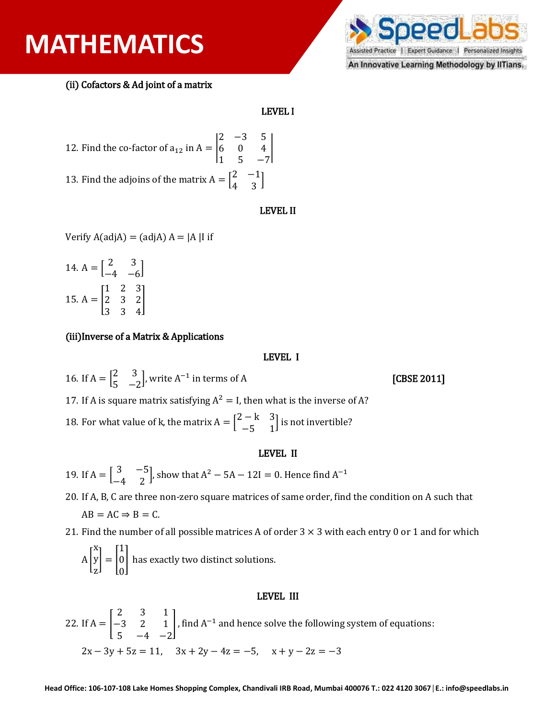## **PHYSICS MATHEMATICS**



An Innovative Learning Methodology by IlTians.

(ii) Cofactors & Ad joint of a matrix

### LEVEL I

12. Find the co-factor of 
$$
a_{12}
$$
 in  $A = \begin{vmatrix} 2 & -3 & 5 \\ 6 & 0 & 4 \\ 1 & 5 & -7 \end{vmatrix}$   
13. Find the adjoints of the matrix  $A = \begin{bmatrix} 2 & -1 \\ 4 & 3 \end{bmatrix}$ 

#### LEVEL II

Verify  $A(\text{adi}A) = (\text{adi}A) A = |A| I$ 

14. 
$$
A = \begin{bmatrix} 2 & 3 \\ -4 & -6 \end{bmatrix}
$$
  
15.  $A = \begin{bmatrix} 1 & 2 & 3 \\ 2 & 3 & 2 \\ 3 & 3 & 4 \end{bmatrix}$ 

### (iii)Inverse of a Matrix & Applications

#### LEVEL I

16. If  $A = \begin{bmatrix} 2 & 3 \\ 1 & 3 \end{bmatrix}$  $\begin{bmatrix} 2 & 3 \\ 5 & -2 \end{bmatrix}$ , write A<sup>-1</sup> in terms of A [CBSE 2011] 17. If A is square matrix satisfying  $A^2 = I$ , then what is the inverse of A? 18. For what value of k, the matrix  $A = \begin{bmatrix} 2 - k & 3 \\ 4 - k & 1 \end{bmatrix}$  $\begin{bmatrix} -\kappa & 3 \\ -5 & 1 \end{bmatrix}$  is not invertible?

#### LEVEL II

19. If 
$$
A = \begin{bmatrix} 3 & -5 \\ -4 & 2 \end{bmatrix}
$$
, show that  $A^2 - 5A - 12I = 0$ . Hence find  $A^{-1}$ 

20. If A, B, C are three non-zero square matrices of same order, find the condition on A such that  $AB = AC \Rightarrow B = C$ .

21. Find the number of all possible matrices A of order  $3 \times 3$  with each entry 0 or 1 and for which

 $\mathbf{A}$   $\vert$ x y z  $\vert = \vert$ 1 0 0 | has exactly two distinct solutions.

#### LEVEL III

22. If  $A = |$ 2 3 1 −3 2 1  $5 -4 -2$  $\int$ , find A<sup>-1</sup> and hence solve the following system of equations:  $2x - 3y + 5z = 11$ ,  $3x + 2y - 4z = -5$ ,  $x + y - 2z = -3$